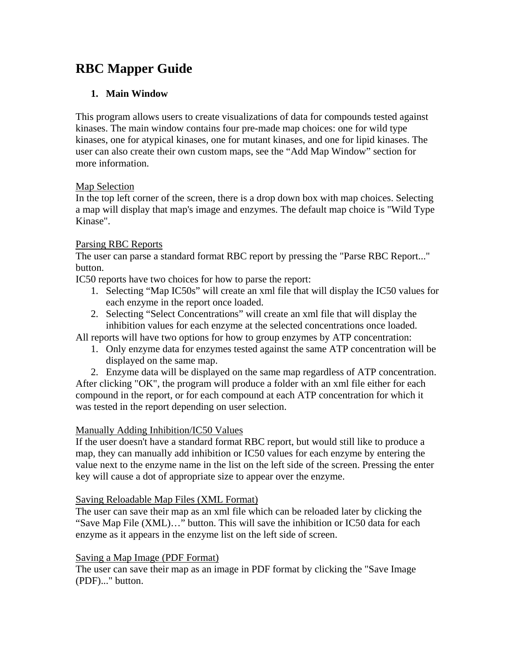# **RBC Mapper Guide**

# **1. Main Window**

This program allows users to create visualizations of data for compounds tested against kinases. The main window contains four pre-made map choices: one for wild type kinases, one for atypical kinases, one for mutant kinases, and one for lipid kinases. The user can also create their own custom maps, see the "Add Map Window" section for more information.

## Map Selection

In the top left corner of the screen, there is a drop down box with map choices. Selecting a map will display that map's image and enzymes. The default map choice is "Wild Type Kinase".

## Parsing RBC Reports

The user can parse a standard format RBC report by pressing the "Parse RBC Report..." button.

IC50 reports have two choices for how to parse the report:

- 1. Selecting "Map IC50s" will create an xml file that will display the IC50 values for each enzyme in the report once loaded.
- 2. Selecting "Select Concentrations" will create an xml file that will display the inhibition values for each enzyme at the selected concentrations once loaded.

All reports will have two options for how to group enzymes by ATP concentration:

- 1. Only enzyme data for enzymes tested against the same ATP concentration will be displayed on the same map.
- 2. Enzyme data will be displayed on the same map regardless of ATP concentration.

After clicking "OK", the program will produce a folder with an xml file either for each compound in the report, or for each compound at each ATP concentration for which it was tested in the report depending on user selection.

## Manually Adding Inhibition/IC50 Values

If the user doesn't have a standard format RBC report, but would still like to produce a map, they can manually add inhibition or IC50 values for each enzyme by entering the value next to the enzyme name in the list on the left side of the screen. Pressing the enter key will cause a dot of appropriate size to appear over the enzyme.

## Saving Reloadable Map Files (XML Format)

The user can save their map as an xml file which can be reloaded later by clicking the "Save Map File (XML)…" button. This will save the inhibition or IC50 data for each enzyme as it appears in the enzyme list on the left side of screen.

## Saving a Map Image (PDF Format)

The user can save their map as an image in PDF format by clicking the "Save Image (PDF)..." button.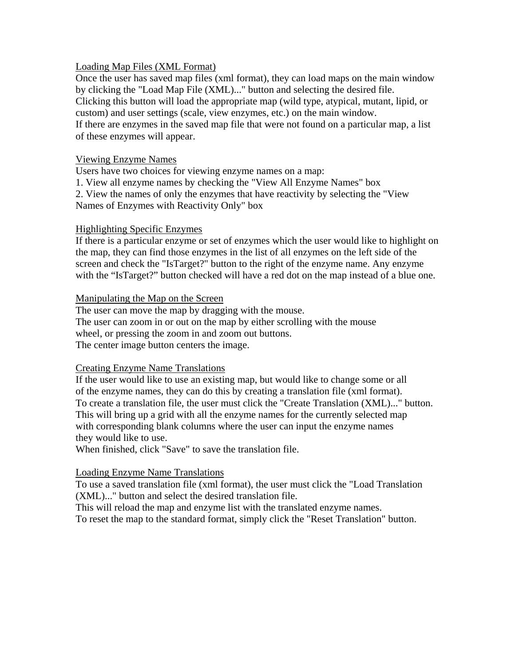#### Loading Map Files (XML Format)

Once the user has saved map files (xml format), they can load maps on the main window by clicking the "Load Map File (XML)..." button and selecting the desired file. Clicking this button will load the appropriate map (wild type, atypical, mutant, lipid, or custom) and user settings (scale, view enzymes, etc.) on the main window. If there are enzymes in the saved map file that were not found on a particular map, a list of these enzymes will appear.

#### Viewing Enzyme Names

Users have two choices for viewing enzyme names on a map:

1. View all enzyme names by checking the "View All Enzyme Names" box

2. View the names of only the enzymes that have reactivity by selecting the "View Names of Enzymes with Reactivity Only" box

#### Highlighting Specific Enzymes

If there is a particular enzyme or set of enzymes which the user would like to highlight on the map, they can find those enzymes in the list of all enzymes on the left side of the screen and check the "IsTarget?" button to the right of the enzyme name. Any enzyme with the "IsTarget?" button checked will have a red dot on the map instead of a blue one.

#### Manipulating the Map on the Screen

The user can move the map by dragging with the mouse. The user can zoom in or out on the map by either scrolling with the mouse wheel, or pressing the zoom in and zoom out buttons. The center image button centers the image.

#### Creating Enzyme Name Translations

If the user would like to use an existing map, but would like to change some or all of the enzyme names, they can do this by creating a translation file (xml format). To create a translation file, the user must click the "Create Translation (XML)..." button. This will bring up a grid with all the enzyme names for the currently selected map with corresponding blank columns where the user can input the enzyme names they would like to use.

When finished, click "Save" to save the translation file.

#### Loading Enzyme Name Translations

To use a saved translation file (xml format), the user must click the "Load Translation (XML)..." button and select the desired translation file.

This will reload the map and enzyme list with the translated enzyme names.

To reset the map to the standard format, simply click the "Reset Translation" button.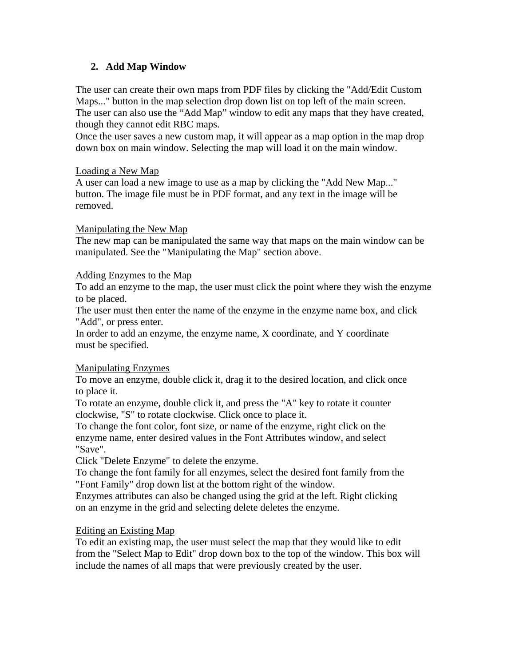# **2. Add Map Window**

The user can create their own maps from PDF files by clicking the "Add/Edit Custom Maps..." button in the map selection drop down list on top left of the main screen. The user can also use the "Add Map" window to edit any maps that they have created, though they cannot edit RBC maps.

Once the user saves a new custom map, it will appear as a map option in the map drop down box on main window. Selecting the map will load it on the main window.

## Loading a New Map

A user can load a new image to use as a map by clicking the "Add New Map..." button. The image file must be in PDF format, and any text in the image will be removed.

## Manipulating the New Map

The new map can be manipulated the same way that maps on the main window can be manipulated. See the "Manipulating the Map" section above.

## Adding Enzymes to the Map

To add an enzyme to the map, the user must click the point where they wish the enzyme to be placed.

The user must then enter the name of the enzyme in the enzyme name box, and click "Add", or press enter.

In order to add an enzyme, the enzyme name, X coordinate, and Y coordinate must be specified.

## Manipulating Enzymes

To move an enzyme, double click it, drag it to the desired location, and click once to place it.

To rotate an enzyme, double click it, and press the "A" key to rotate it counter clockwise, "S" to rotate clockwise. Click once to place it.

To change the font color, font size, or name of the enzyme, right click on the enzyme name, enter desired values in the Font Attributes window, and select "Save".

Click "Delete Enzyme" to delete the enzyme.

To change the font family for all enzymes, select the desired font family from the "Font Family" drop down list at the bottom right of the window.

Enzymes attributes can also be changed using the grid at the left. Right clicking on an enzyme in the grid and selecting delete deletes the enzyme.

## Editing an Existing Map

To edit an existing map, the user must select the map that they would like to edit from the "Select Map to Edit" drop down box to the top of the window. This box will include the names of all maps that were previously created by the user.